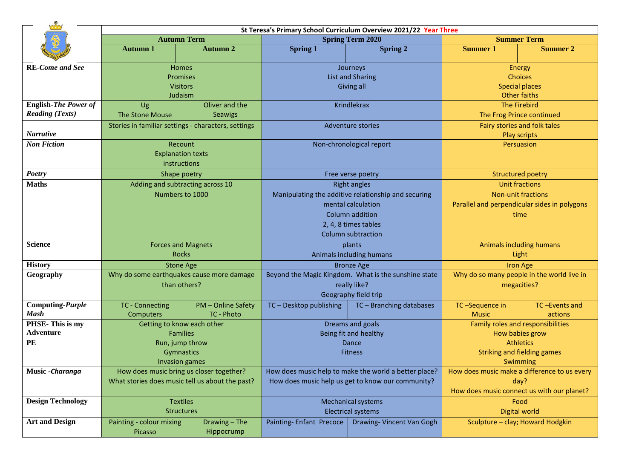|                               | St Teresa's Primary School Curriculum Overview 2021/22 Year Three |                    |                                                                            |                                                      |                                                   |                                            |  |
|-------------------------------|-------------------------------------------------------------------|--------------------|----------------------------------------------------------------------------|------------------------------------------------------|---------------------------------------------------|--------------------------------------------|--|
|                               | <b>Autumn Term</b>                                                |                    | <b>Spring Term 2020</b>                                                    |                                                      | <b>Summer Term</b>                                |                                            |  |
|                               | <b>Autumn 1</b>                                                   | <b>Autumn 2</b>    | <b>Spring 1</b>                                                            | Spring 2                                             | <b>Summer 1</b>                                   | <b>Summer 2</b>                            |  |
| <b>RE-Come and See</b>        |                                                                   | <b>Homes</b>       |                                                                            | Journeys                                             |                                                   | Energy                                     |  |
|                               | <b>Promises</b>                                                   |                    | <b>List and Sharing</b>                                                    |                                                      | <b>Choices</b>                                    |                                            |  |
|                               | <b>Visitors</b>                                                   |                    | Giving all                                                                 |                                                      | <b>Special places</b>                             |                                            |  |
|                               | Judaism                                                           |                    |                                                                            |                                                      | <b>Other faiths</b>                               |                                            |  |
| <b>English-The Power of</b>   | Oliver and the<br>Ug                                              |                    | Krindlekrax                                                                |                                                      | <b>The Firebird</b>                               |                                            |  |
| <b>Reading (Texts)</b>        | The Stone Mouse                                                   | Seawigs            |                                                                            |                                                      | The Frog Prince continued                         |                                            |  |
|                               | Stories in familiar settings - characters, settings               |                    | <b>Adventure stories</b>                                                   |                                                      | Fairy stories and folk tales                      |                                            |  |
| <b>Narrative</b>              |                                                                   |                    |                                                                            |                                                      | Play scripts                                      |                                            |  |
| <b>Non Fiction</b>            | Recount                                                           |                    | Non-chronological report                                                   |                                                      | Persuasion                                        |                                            |  |
|                               | <b>Explanation texts</b>                                          |                    |                                                                            |                                                      |                                                   |                                            |  |
|                               | instructions                                                      |                    |                                                                            |                                                      |                                                   |                                            |  |
| <b>Poetry</b><br><b>Maths</b> | Shape poetry                                                      |                    | Free verse poetry                                                          |                                                      | <b>Structured poetry</b><br><b>Unit fractions</b> |                                            |  |
|                               | Adding and subtracting across 10<br>Numbers to 1000               |                    | <b>Right angles</b><br>Manipulating the additive relationship and securing |                                                      | <b>Non-unit fractions</b>                         |                                            |  |
|                               |                                                                   |                    | mental calculation                                                         |                                                      | Parallel and perpendicular sides in polygons      |                                            |  |
|                               |                                                                   |                    | Column addition                                                            |                                                      | time                                              |                                            |  |
|                               |                                                                   |                    | 2, 4, 8 times tables                                                       |                                                      |                                                   |                                            |  |
|                               |                                                                   |                    |                                                                            | <b>Column subtraction</b>                            |                                                   |                                            |  |
| <b>Science</b>                | <b>Forces and Magnets</b>                                         |                    | plants                                                                     |                                                      | <b>Animals including humans</b>                   |                                            |  |
|                               | <b>Rocks</b>                                                      |                    | Animals including humans                                                   |                                                      | Light                                             |                                            |  |
| <b>History</b>                | <b>Stone Age</b>                                                  |                    | <b>Bronze Age</b>                                                          |                                                      | <b>Iron Age</b>                                   |                                            |  |
| Geography                     | Why do some earthquakes cause more damage                         |                    |                                                                            | Beyond the Magic Kingdom. What is the sunshine state |                                                   | Why do so many people in the world live in |  |
|                               | than others?                                                      |                    | really like?                                                               |                                                      | megacities?                                       |                                            |  |
|                               |                                                                   |                    | Geography field trip                                                       |                                                      |                                                   |                                            |  |
| Computing-Purple              | <b>TC - Connecting</b>                                            | PM - Online Safety | TC - Desktop publishing                                                    | TC - Branching databases                             | TC-Sequence in                                    | TC-Events and                              |  |
| <b>Mash</b>                   | Computers                                                         | TC - Photo         |                                                                            |                                                      | <b>Music</b>                                      | actions                                    |  |
| PHSE-This is my               | Getting to know each other                                        |                    | Dreams and goals                                                           |                                                      | Family roles and responsibilities                 |                                            |  |
| Adventure<br>PE               | <b>Families</b>                                                   |                    | Being fit and healthy                                                      |                                                      | How babies grow                                   |                                            |  |
|                               | Run, jump throw                                                   |                    | Dance<br><b>Fitness</b>                                                    |                                                      | <b>Athletics</b>                                  |                                            |  |
|                               | Gymnastics                                                        |                    |                                                                            |                                                      | <b>Striking and fielding games</b><br>Swimming    |                                            |  |
| Music - Charanga              | <b>Invasion games</b><br>How does music bring us closer together? |                    | How does music help to make the world a better place?                      |                                                      | How does music make a difference to us every      |                                            |  |
|                               | What stories does music tell us about the past?                   |                    | How does music help us get to know our community?                          |                                                      | day?                                              |                                            |  |
|                               |                                                                   |                    |                                                                            |                                                      | How does music connect us with our planet?        |                                            |  |
| <b>Design Technology</b>      | <b>Textiles</b>                                                   |                    | <b>Mechanical systems</b>                                                  |                                                      | Food                                              |                                            |  |
|                               | <b>Structures</b>                                                 |                    | <b>Electrical systems</b>                                                  |                                                      | Digital world                                     |                                            |  |
| <b>Art and Design</b>         | Painting - colour mixing                                          | Drawing - The      | Painting-Enfant Precoce                                                    | Drawing- Vincent Van Gogh                            | Sculpture - clay; Howard Hodgkin                  |                                            |  |
|                               | Picasso                                                           | Hippocrump         |                                                                            |                                                      |                                                   |                                            |  |